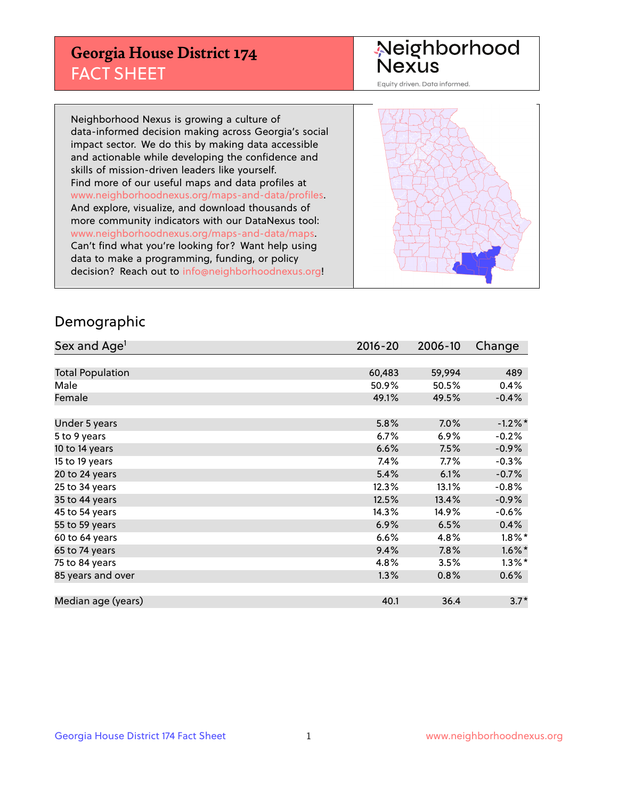## **Georgia House District 174** FACT SHEET

# Neighborhood<br>Nexus

Equity driven. Data informed.

Neighborhood Nexus is growing a culture of data-informed decision making across Georgia's social impact sector. We do this by making data accessible and actionable while developing the confidence and skills of mission-driven leaders like yourself. Find more of our useful maps and data profiles at www.neighborhoodnexus.org/maps-and-data/profiles. And explore, visualize, and download thousands of more community indicators with our DataNexus tool: www.neighborhoodnexus.org/maps-and-data/maps. Can't find what you're looking for? Want help using data to make a programming, funding, or policy decision? Reach out to [info@neighborhoodnexus.org!](mailto:info@neighborhoodnexus.org)



### Demographic

| Sex and Age <sup>1</sup> | $2016 - 20$ | 2006-10 | Change    |
|--------------------------|-------------|---------|-----------|
|                          |             |         |           |
| <b>Total Population</b>  | 60,483      | 59,994  | 489       |
| Male                     | 50.9%       | 50.5%   | 0.4%      |
| Female                   | 49.1%       | 49.5%   | $-0.4%$   |
|                          |             |         |           |
| Under 5 years            | 5.8%        | $7.0\%$ | $-1.2%$ * |
| 5 to 9 years             | $6.7\%$     | 6.9%    | $-0.2%$   |
| 10 to 14 years           | 6.6%        | 7.5%    | $-0.9%$   |
| 15 to 19 years           | 7.4%        | 7.7%    | $-0.3%$   |
| 20 to 24 years           | 5.4%        | 6.1%    | $-0.7%$   |
| 25 to 34 years           | 12.3%       | 13.1%   | $-0.8%$   |
| 35 to 44 years           | 12.5%       | 13.4%   | $-0.9%$   |
| 45 to 54 years           | 14.3%       | 14.9%   | $-0.6%$   |
| 55 to 59 years           | 6.9%        | 6.5%    | 0.4%      |
| 60 to 64 years           | 6.6%        | 4.8%    | $1.8\%$ * |
| 65 to 74 years           | 9.4%        | 7.8%    | $1.6\%$ * |
| 75 to 84 years           | 4.8%        | 3.5%    | $1.3\%$ * |
| 85 years and over        | 1.3%        | 0.8%    | 0.6%      |
|                          |             |         |           |
| Median age (years)       | 40.1        | 36.4    | $3.7*$    |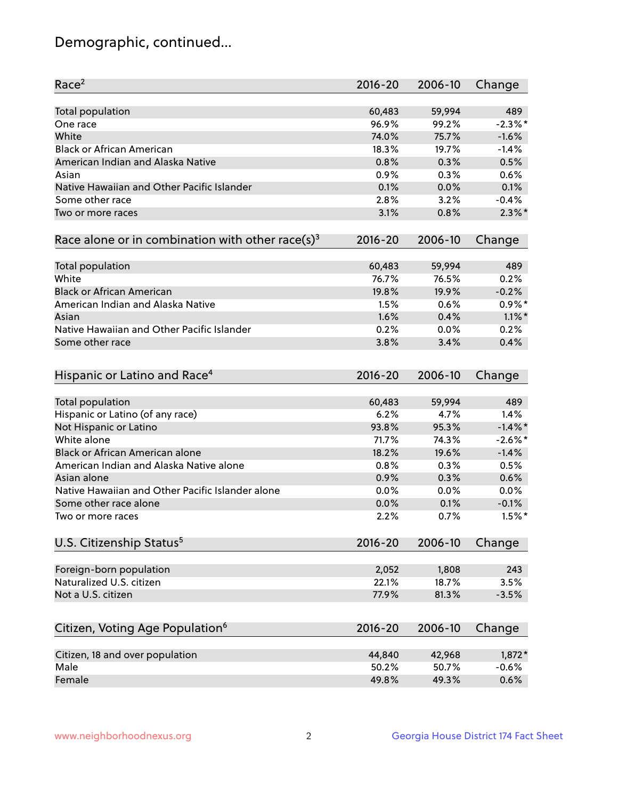## Demographic, continued...

| Race <sup>2</sup>                                            | $2016 - 20$ | 2006-10 | Change     |
|--------------------------------------------------------------|-------------|---------|------------|
| <b>Total population</b>                                      | 60,483      | 59,994  | 489        |
| One race                                                     | 96.9%       | 99.2%   | $-2.3\%$ * |
| White                                                        | 74.0%       | 75.7%   | $-1.6%$    |
| <b>Black or African American</b>                             | 18.3%       | 19.7%   | $-1.4%$    |
| American Indian and Alaska Native                            | 0.8%        | 0.3%    | 0.5%       |
| Asian                                                        | 0.9%        | 0.3%    | 0.6%       |
| Native Hawaiian and Other Pacific Islander                   | 0.1%        | 0.0%    | 0.1%       |
| Some other race                                              | 2.8%        | 3.2%    | $-0.4%$    |
| Two or more races                                            | 3.1%        | 0.8%    | $2.3\%$ *  |
| Race alone or in combination with other race(s) <sup>3</sup> | $2016 - 20$ | 2006-10 | Change     |
| Total population                                             | 60,483      | 59,994  | 489        |
| White                                                        | 76.7%       | 76.5%   | 0.2%       |
| <b>Black or African American</b>                             | 19.8%       | 19.9%   | $-0.2%$    |
| American Indian and Alaska Native                            | 1.5%        | 0.6%    | $0.9\%$ *  |
| Asian                                                        | 1.6%        | 0.4%    | $1.1\%$ *  |
| Native Hawaiian and Other Pacific Islander                   | 0.2%        | 0.0%    | 0.2%       |
| Some other race                                              | 3.8%        | 3.4%    | 0.4%       |
| Hispanic or Latino and Race <sup>4</sup>                     | $2016 - 20$ | 2006-10 | Change     |
| <b>Total population</b>                                      | 60,483      | 59,994  | 489        |
| Hispanic or Latino (of any race)                             | 6.2%        | 4.7%    | 1.4%       |
| Not Hispanic or Latino                                       | 93.8%       | 95.3%   | $-1.4\%$ * |
| White alone                                                  | 71.7%       | 74.3%   | $-2.6\%$ * |
| Black or African American alone                              | 18.2%       | 19.6%   | $-1.4%$    |
| American Indian and Alaska Native alone                      | 0.8%        | 0.3%    | 0.5%       |
| Asian alone                                                  | 0.9%        | 0.3%    | 0.6%       |
| Native Hawaiian and Other Pacific Islander alone             | 0.0%        | 0.0%    | 0.0%       |
| Some other race alone                                        | 0.0%        | 0.1%    | $-0.1%$    |
| Two or more races                                            | 2.2%        | 0.7%    | $1.5%$ *   |
| U.S. Citizenship Status <sup>5</sup>                         | $2016 - 20$ | 2006-10 | Change     |
| Foreign-born population                                      | 2,052       | 1,808   | 243        |
| Naturalized U.S. citizen                                     | 22.1%       | 18.7%   | 3.5%       |
| Not a U.S. citizen                                           | 77.9%       | 81.3%   | $-3.5%$    |
|                                                              |             |         |            |
| Citizen, Voting Age Population <sup>6</sup>                  | 2016-20     | 2006-10 | Change     |
| Citizen, 18 and over population                              | 44,840      | 42,968  | $1,872*$   |
| Male                                                         | 50.2%       | 50.7%   | $-0.6%$    |
| Female                                                       | 49.8%       | 49.3%   | 0.6%       |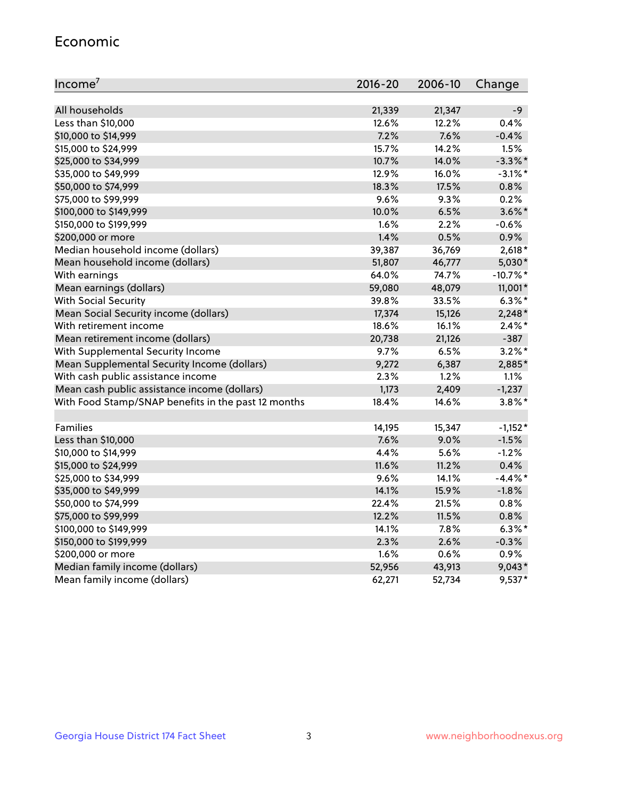#### Economic

| Income <sup>7</sup>                                 | $2016 - 20$ | 2006-10 | Change     |
|-----------------------------------------------------|-------------|---------|------------|
|                                                     |             |         |            |
| All households                                      | 21,339      | 21,347  | $-9$       |
| Less than \$10,000                                  | 12.6%       | 12.2%   | 0.4%       |
| \$10,000 to \$14,999                                | 7.2%        | 7.6%    | $-0.4%$    |
| \$15,000 to \$24,999                                | 15.7%       | 14.2%   | 1.5%       |
| \$25,000 to \$34,999                                | 10.7%       | 14.0%   | $-3.3\%$ * |
| \$35,000 to \$49,999                                | 12.9%       | 16.0%   | $-3.1\%$ * |
| \$50,000 to \$74,999                                | 18.3%       | 17.5%   | 0.8%       |
| \$75,000 to \$99,999                                | $9.6\%$     | 9.3%    | 0.2%       |
| \$100,000 to \$149,999                              | 10.0%       | 6.5%    | $3.6\%$ *  |
| \$150,000 to \$199,999                              | 1.6%        | 2.2%    | $-0.6%$    |
| \$200,000 or more                                   | 1.4%        | 0.5%    | 0.9%       |
| Median household income (dollars)                   | 39,387      | 36,769  | $2,618*$   |
| Mean household income (dollars)                     | 51,807      | 46,777  | 5,030*     |
| With earnings                                       | 64.0%       | 74.7%   | $-10.7%$ * |
| Mean earnings (dollars)                             | 59,080      | 48,079  | 11,001*    |
| <b>With Social Security</b>                         | 39.8%       | 33.5%   | $6.3\%$ *  |
| Mean Social Security income (dollars)               | 17,374      | 15,126  | $2,248*$   |
| With retirement income                              | 18.6%       | 16.1%   | $2.4\%$ *  |
| Mean retirement income (dollars)                    | 20,738      | 21,126  | $-387$     |
| With Supplemental Security Income                   | $9.7\%$     | 6.5%    | $3.2\%$ *  |
| Mean Supplemental Security Income (dollars)         | 9,272       | 6,387   | 2,885*     |
| With cash public assistance income                  | 2.3%        | 1.2%    | 1.1%       |
| Mean cash public assistance income (dollars)        | 1,173       | 2,409   | $-1,237$   |
| With Food Stamp/SNAP benefits in the past 12 months | 18.4%       | 14.6%   | $3.8\%$ *  |
|                                                     |             |         |            |
| Families                                            | 14,195      | 15,347  | $-1,152*$  |
| Less than \$10,000                                  | 7.6%        | 9.0%    | $-1.5%$    |
| \$10,000 to \$14,999                                | 4.4%        | 5.6%    | $-1.2%$    |
| \$15,000 to \$24,999                                | 11.6%       | 11.2%   | 0.4%       |
| \$25,000 to \$34,999                                | 9.6%        | 14.1%   | $-4.4\%$ * |
| \$35,000 to \$49,999                                | 14.1%       | 15.9%   | $-1.8%$    |
| \$50,000 to \$74,999                                | 22.4%       | 21.5%   | 0.8%       |
| \$75,000 to \$99,999                                | 12.2%       | 11.5%   | 0.8%       |
| \$100,000 to \$149,999                              | 14.1%       | $7.8\%$ | $6.3\%$ *  |
| \$150,000 to \$199,999                              | 2.3%        | 2.6%    | $-0.3%$    |
| \$200,000 or more                                   | 1.6%        | 0.6%    | 0.9%       |
| Median family income (dollars)                      | 52,956      | 43,913  | $9,043*$   |
| Mean family income (dollars)                        | 62,271      | 52,734  | $9,537*$   |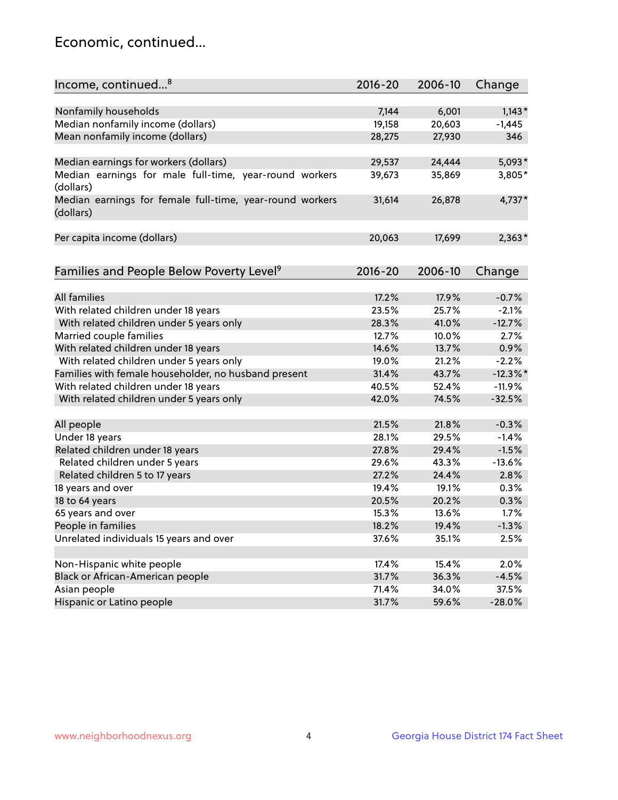## Economic, continued...

| Income, continued <sup>8</sup>                           | $2016 - 20$ | 2006-10 | Change   |
|----------------------------------------------------------|-------------|---------|----------|
|                                                          |             |         |          |
| Nonfamily households                                     | 7,144       | 6,001   | $1,143*$ |
|                                                          |             |         |          |
| Median nonfamily income (dollars)                        | 19,158      | 20,603  | $-1,445$ |
| Mean nonfamily income (dollars)                          | 28,275      | 27,930  | 346      |
| Median earnings for workers (dollars)                    | 29,537      | 24,444  | $5,093*$ |
| Median earnings for male full-time, year-round workers   | 39,673      | 35,869  | 3,805*   |
| (dollars)                                                |             |         |          |
| Median earnings for female full-time, year-round workers | 31,614      | 26,878  | 4,737*   |
| (dollars)                                                |             |         |          |
|                                                          |             |         |          |
| Per capita income (dollars)                              | 20,063      | 17,699  | $2,363*$ |
|                                                          |             |         |          |
|                                                          | 2016-20     | 2006-10 |          |
| Families and People Below Poverty Level <sup>9</sup>     |             |         | Change   |
| <b>All families</b>                                      |             |         |          |
|                                                          | 17.2%       | 17.9%   | $-0.7%$  |
| With related children under 18 years                     | 23.5%       | 25.7%   | $-2.1%$  |
| With related children under 5 years only                 | 28.3%       | 41.0%   | $-12.7%$ |
| Married couple families                                  | 12.7%       | 10.0%   | 2.7%     |
| With related children under 18 years                     | 14.6%       | 13.7%   | 0.9%     |
| With related children under 5 years only                 | 19.0%       | 21.2%   | $-2.2%$  |
| Families with female householder, no husband present     | 31.4%       | 43.7%   | $-12.3%$ |
| With related children under 18 years                     | 40.5%       | 52.4%   | $-11.9%$ |
| With related children under 5 years only                 | 42.0%       | 74.5%   | $-32.5%$ |
|                                                          |             |         |          |
| All people                                               | 21.5%       | 21.8%   | $-0.3%$  |
| Under 18 years                                           | 28.1%       | 29.5%   | $-1.4%$  |
| Related children under 18 years                          | 27.8%       | 29.4%   | $-1.5%$  |
| Related children under 5 years                           | 29.6%       | 43.3%   | $-13.6%$ |
| Related children 5 to 17 years                           | 27.2%       | 24.4%   | 2.8%     |
| 18 years and over                                        | 19.4%       | 19.1%   | 0.3%     |
| 18 to 64 years                                           | 20.5%       | 20.2%   | 0.3%     |
| 65 years and over                                        | 15.3%       | 13.6%   | 1.7%     |
| People in families                                       | 18.2%       | 19.4%   | $-1.3%$  |
| Unrelated individuals 15 years and over                  | 37.6%       | 35.1%   | 2.5%     |
|                                                          |             |         |          |
| Non-Hispanic white people                                | 17.4%       | 15.4%   | 2.0%     |
| Black or African-American people                         | 31.7%       | 36.3%   | $-4.5%$  |
| Asian people                                             | 71.4%       | 34.0%   | 37.5%    |
| Hispanic or Latino people                                | 31.7%       | 59.6%   | $-28.0%$ |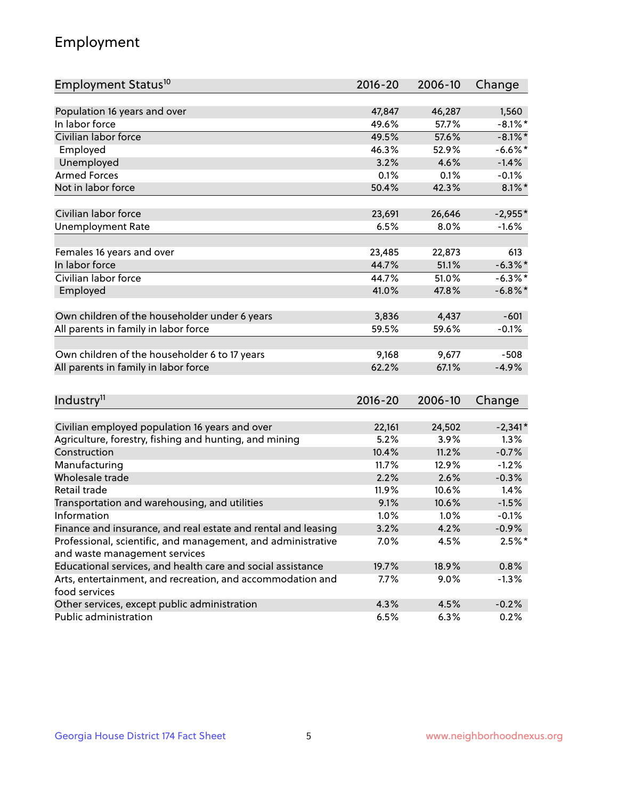## Employment

| Employment Status <sup>10</sup>                               | $2016 - 20$ | 2006-10 | Change     |
|---------------------------------------------------------------|-------------|---------|------------|
|                                                               |             |         |            |
| Population 16 years and over                                  | 47,847      | 46,287  | 1,560      |
| In labor force                                                | 49.6%       | 57.7%   | $-8.1\%$ * |
| Civilian labor force                                          | 49.5%       | 57.6%   | $-8.1\%$ * |
| Employed                                                      | 46.3%       | 52.9%   | $-6.6%$ *  |
| Unemployed                                                    | 3.2%        | 4.6%    | $-1.4%$    |
| <b>Armed Forces</b>                                           | 0.1%        | 0.1%    | $-0.1%$    |
| Not in labor force                                            | 50.4%       | 42.3%   | $8.1\%$ *  |
| Civilian labor force                                          | 23,691      | 26,646  | $-2,955*$  |
| <b>Unemployment Rate</b>                                      | 6.5%        | 8.0%    | $-1.6%$    |
|                                                               |             |         |            |
| Females 16 years and over                                     | 23,485      | 22,873  | 613        |
| In labor force                                                | 44.7%       | 51.1%   | $-6.3\%$ * |
| Civilian labor force                                          | 44.7%       | 51.0%   | $-6.3\%$ * |
| Employed                                                      | 41.0%       | 47.8%   | $-6.8\%$ * |
| Own children of the householder under 6 years                 | 3,836       | 4,437   | $-601$     |
| All parents in family in labor force                          | 59.5%       | 59.6%   | $-0.1%$    |
|                                                               |             |         |            |
| Own children of the householder 6 to 17 years                 | 9,168       | 9,677   | $-508$     |
| All parents in family in labor force                          | 62.2%       | 67.1%   | $-4.9%$    |
|                                                               |             |         |            |
| Industry <sup>11</sup>                                        | $2016 - 20$ | 2006-10 | Change     |
| Civilian employed population 16 years and over                | 22,161      | 24,502  | $-2,341*$  |
| Agriculture, forestry, fishing and hunting, and mining        | 5.2%        | 3.9%    | 1.3%       |
| Construction                                                  | 10.4%       | 11.2%   | $-0.7%$    |
| Manufacturing                                                 | 11.7%       | 12.9%   | $-1.2%$    |
| Wholesale trade                                               | 2.2%        | 2.6%    | $-0.3%$    |
| Retail trade                                                  | 11.9%       | 10.6%   | 1.4%       |
| Transportation and warehousing, and utilities                 | 9.1%        | 10.6%   | $-1.5%$    |
| Information                                                   | 1.0%        | 1.0%    | $-0.1%$    |
| Finance and insurance, and real estate and rental and leasing | 3.2%        | 4.2%    | $-0.9\%$   |
| Professional, scientific, and management, and administrative  | 7.0%        | 4.5%    | $2.5%$ *   |
| and waste management services                                 |             |         |            |
| Educational services, and health care and social assistance   | 19.7%       | 18.9%   | 0.8%       |
| Arts, entertainment, and recreation, and accommodation and    | 7.7%        | 9.0%    | $-1.3%$    |
| food services                                                 |             |         |            |
| Other services, except public administration                  | 4.3%        | 4.5%    | $-0.2%$    |
| Public administration                                         | 6.5%        | 6.3%    | 0.2%       |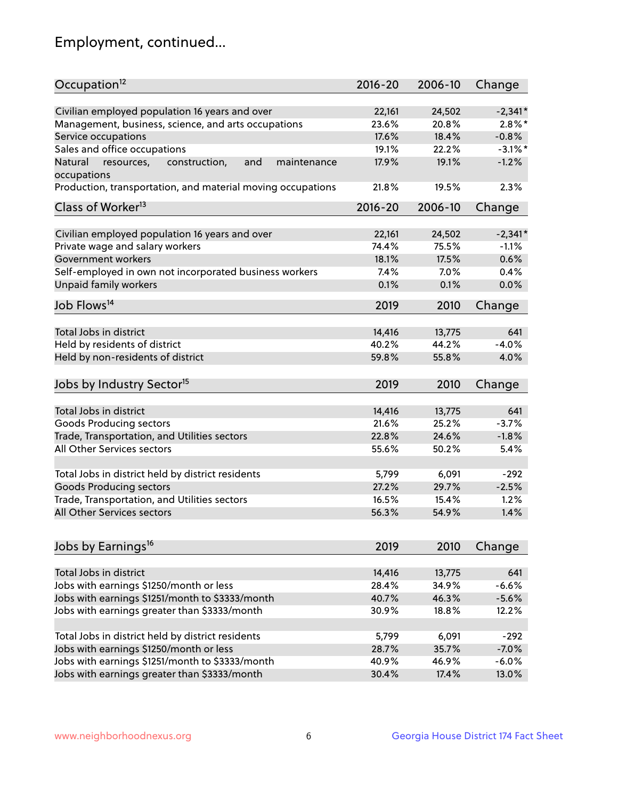## Employment, continued...

| Occupation <sup>12</sup>                                                    | $2016 - 20$ | 2006-10 | Change     |
|-----------------------------------------------------------------------------|-------------|---------|------------|
| Civilian employed population 16 years and over                              | 22,161      | 24,502  | $-2,341*$  |
| Management, business, science, and arts occupations                         | 23.6%       | 20.8%   | $2.8\%$ *  |
| Service occupations                                                         | 17.6%       | 18.4%   | $-0.8%$    |
| Sales and office occupations                                                | 19.1%       | 22.2%   | $-3.1\%$ * |
|                                                                             |             |         | $-1.2%$    |
| Natural<br>and<br>resources,<br>construction,<br>maintenance<br>occupations | 17.9%       | 19.1%   |            |
| Production, transportation, and material moving occupations                 | 21.8%       | 19.5%   | 2.3%       |
| Class of Worker <sup>13</sup>                                               | $2016 - 20$ | 2006-10 | Change     |
|                                                                             |             |         |            |
| Civilian employed population 16 years and over                              | 22,161      | 24,502  | $-2,341*$  |
| Private wage and salary workers                                             | 74.4%       | 75.5%   | $-1.1%$    |
| Government workers                                                          | 18.1%       | 17.5%   | 0.6%       |
| Self-employed in own not incorporated business workers                      | 7.4%        | 7.0%    | 0.4%       |
| Unpaid family workers                                                       | 0.1%        | 0.1%    | 0.0%       |
| Job Flows <sup>14</sup>                                                     | 2019        | 2010    | Change     |
|                                                                             |             |         |            |
| Total Jobs in district                                                      | 14,416      | 13,775  | 641        |
| Held by residents of district                                               | 40.2%       | 44.2%   | $-4.0%$    |
| Held by non-residents of district                                           | 59.8%       | 55.8%   | 4.0%       |
| Jobs by Industry Sector <sup>15</sup>                                       | 2019        | 2010    | Change     |
|                                                                             |             |         |            |
| Total Jobs in district                                                      | 14,416      | 13,775  | 641        |
| Goods Producing sectors                                                     | 21.6%       | 25.2%   | $-3.7%$    |
| Trade, Transportation, and Utilities sectors                                | 22.8%       | 24.6%   | $-1.8%$    |
| All Other Services sectors                                                  | 55.6%       | 50.2%   | 5.4%       |
|                                                                             |             |         |            |
| Total Jobs in district held by district residents                           | 5,799       | 6,091   | $-292$     |
| <b>Goods Producing sectors</b>                                              | 27.2%       | 29.7%   | $-2.5%$    |
| Trade, Transportation, and Utilities sectors                                | 16.5%       | 15.4%   | 1.2%       |
| All Other Services sectors                                                  | 56.3%       | 54.9%   | 1.4%       |
|                                                                             |             |         |            |
| Jobs by Earnings <sup>16</sup>                                              | 2019        | 2010    | Change     |
|                                                                             |             |         |            |
| Total Jobs in district                                                      | 14,416      | 13,775  | 641        |
| Jobs with earnings \$1250/month or less                                     | 28.4%       | 34.9%   | $-6.6%$    |
| Jobs with earnings \$1251/month to \$3333/month                             | 40.7%       | 46.3%   | $-5.6%$    |
| Jobs with earnings greater than \$3333/month                                | 30.9%       | 18.8%   | 12.2%      |
| Total Jobs in district held by district residents                           | 5,799       | 6,091   | $-292$     |
| Jobs with earnings \$1250/month or less                                     | 28.7%       | 35.7%   | $-7.0%$    |
| Jobs with earnings \$1251/month to \$3333/month                             | 40.9%       | 46.9%   | $-6.0%$    |
| Jobs with earnings greater than \$3333/month                                | 30.4%       | 17.4%   | 13.0%      |
|                                                                             |             |         |            |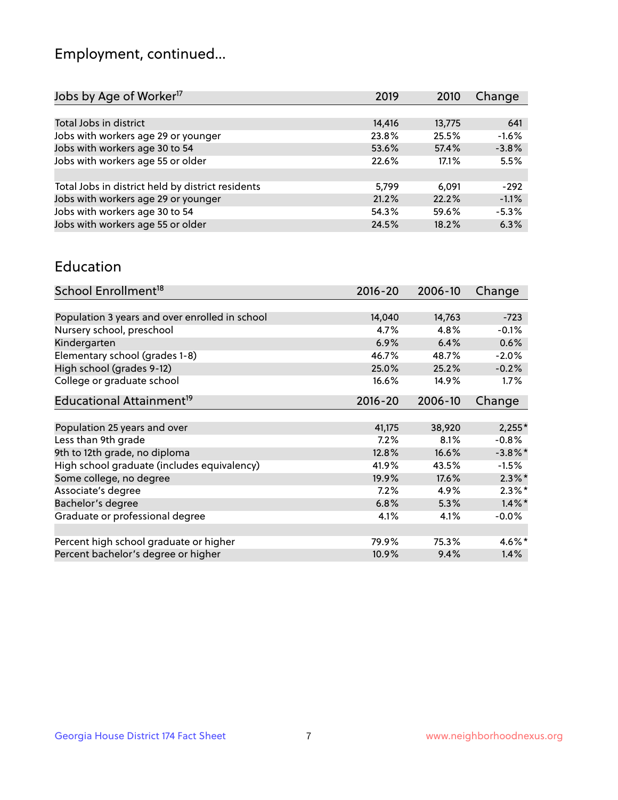## Employment, continued...

| Change  |
|---------|
|         |
| 641     |
| $-1.6%$ |
| $-3.8%$ |
| 5.5%    |
|         |
| $-292$  |
| $-1.1%$ |
| $-5.3%$ |
| 6.3%    |
|         |

#### Education

| School Enrollment <sup>18</sup>                | $2016 - 20$ | 2006-10 | Change     |
|------------------------------------------------|-------------|---------|------------|
|                                                |             |         |            |
| Population 3 years and over enrolled in school | 14,040      | 14,763  | $-723$     |
| Nursery school, preschool                      | 4.7%        | 4.8%    | $-0.1%$    |
| Kindergarten                                   | 6.9%        | 6.4%    | 0.6%       |
| Elementary school (grades 1-8)                 | 46.7%       | 48.7%   | $-2.0%$    |
| High school (grades 9-12)                      | 25.0%       | 25.2%   | $-0.2%$    |
| College or graduate school                     | 16.6%       | 14.9%   | $1.7\%$    |
| Educational Attainment <sup>19</sup>           | $2016 - 20$ | 2006-10 | Change     |
|                                                |             |         |            |
| Population 25 years and over                   | 41,175      | 38,920  | $2,255*$   |
| Less than 9th grade                            | 7.2%        | 8.1%    | $-0.8%$    |
| 9th to 12th grade, no diploma                  | 12.8%       | 16.6%   | $-3.8\%$ * |
| High school graduate (includes equivalency)    | 41.9%       | 43.5%   | $-1.5%$    |
| Some college, no degree                        | 19.9%       | 17.6%   | $2.3\%$ *  |
| Associate's degree                             | 7.2%        | 4.9%    | $2.3\%$ *  |
| Bachelor's degree                              | 6.8%        | 5.3%    | $1.4\%$ *  |
| Graduate or professional degree                | 4.1%        | 4.1%    | $-0.0%$    |
|                                                |             |         |            |
| Percent high school graduate or higher         | 79.9%       | 75.3%   | $4.6\%$ *  |
| Percent bachelor's degree or higher            | 10.9%       | 9.4%    | 1.4%       |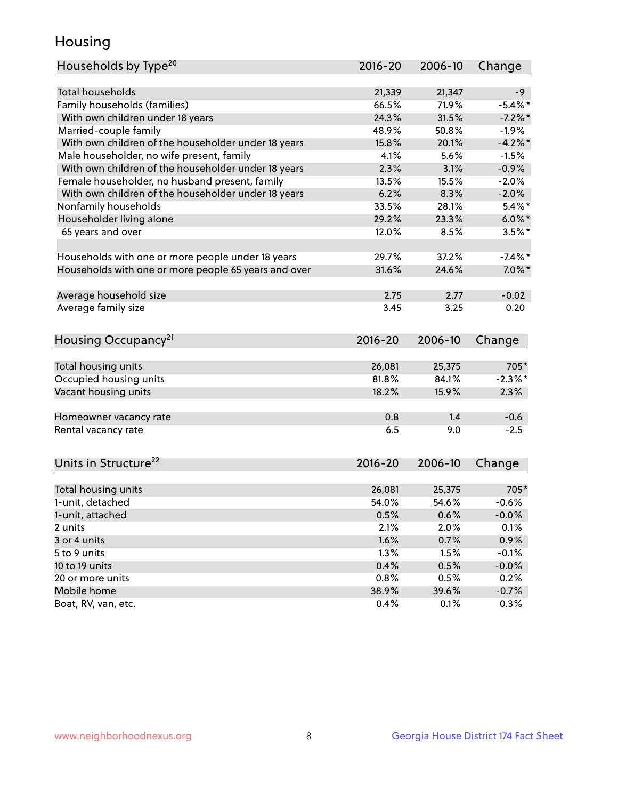## Housing

| Households by Type <sup>20</sup>                     | 2016-20       | 2006-10       | Change          |
|------------------------------------------------------|---------------|---------------|-----------------|
|                                                      |               |               |                 |
| <b>Total households</b>                              | 21,339        | 21,347        | $-9$            |
| Family households (families)                         | 66.5%         | 71.9%         | $-5.4\%$ *      |
| With own children under 18 years                     | 24.3%         | 31.5%         | $-7.2%$         |
| Married-couple family                                | 48.9%         | 50.8%         | $-1.9%$         |
| With own children of the householder under 18 years  | 15.8%         | 20.1%         | $-4.2%$         |
| Male householder, no wife present, family            | 4.1%          | 5.6%          | $-1.5%$         |
| With own children of the householder under 18 years  | 2.3%          | 3.1%          | $-0.9%$         |
| Female householder, no husband present, family       | 13.5%         | 15.5%         | $-2.0%$         |
| With own children of the householder under 18 years  | 6.2%          | 8.3%          | $-2.0%$         |
| Nonfamily households                                 | 33.5%         | 28.1%         | $5.4\%$ *       |
| Householder living alone                             | 29.2%         | 23.3%         | $6.0\%$ *       |
| 65 years and over                                    | 12.0%         | 8.5%          | $3.5\%$ *       |
|                                                      |               |               |                 |
| Households with one or more people under 18 years    | 29.7%         | 37.2%         | $-7.4\%$ *      |
| Households with one or more people 65 years and over | 31.6%         | 24.6%         | $7.0\%$ *       |
|                                                      |               |               |                 |
| Average household size                               | 2.75          | 2.77          | $-0.02$         |
| Average family size                                  | 3.45          | 3.25          | 0.20            |
|                                                      |               |               |                 |
| Housing Occupancy <sup>21</sup>                      | 2016-20       | 2006-10       | Change          |
|                                                      |               |               |                 |
| Total housing units                                  | 26,081        | 25,375        | 705*            |
| Occupied housing units                               | 81.8%         | 84.1%         | $-2.3\%$ *      |
| Vacant housing units                                 | 18.2%         | 15.9%         | 2.3%            |
|                                                      |               |               |                 |
| Homeowner vacancy rate                               | 0.8           | 1.4           | $-0.6$          |
| Rental vacancy rate                                  | 6.5           | 9.0           | $-2.5$          |
|                                                      |               |               |                 |
| Units in Structure <sup>22</sup>                     | 2016-20       | 2006-10       | Change          |
|                                                      |               |               |                 |
| Total housing units                                  | 26,081        | 25,375        | 705*            |
| 1-unit, detached                                     | 54.0%         | 54.6%         | $-0.6%$         |
| 1-unit, attached                                     | 0.5%          | 0.6%          | $-0.0%$         |
| 2 units                                              | 2.1%          | 2.0%          | 0.1%            |
| 3 or 4 units                                         | 1.6%          | 0.7%          | 0.9%            |
| 5 to 9 units                                         | 1.3%          | 1.5%          | $-0.1%$         |
| 10 to 19 units                                       | 0.4%          | 0.5%          | $-0.0%$         |
| 20 or more units                                     |               |               |                 |
|                                                      |               |               |                 |
|                                                      | 0.8%          | 0.5%          | 0.2%            |
| Mobile home<br>Boat, RV, van, etc.                   | 38.9%<br>0.4% | 39.6%<br>0.1% | $-0.7%$<br>0.3% |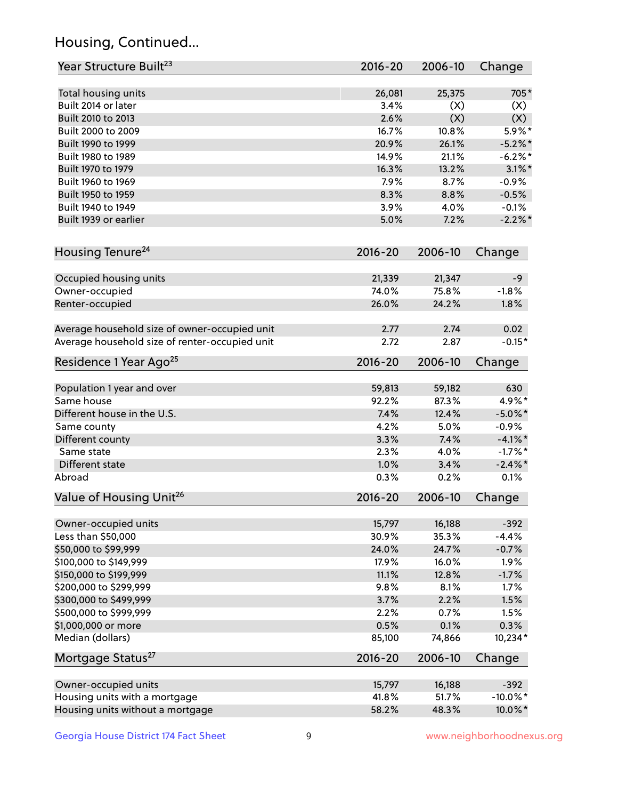## Housing, Continued...

| Year Structure Built <sup>23</sup>             | 2016-20     | 2006-10 | Change      |
|------------------------------------------------|-------------|---------|-------------|
| Total housing units                            | 26,081      | 25,375  | 705*        |
| Built 2014 or later                            | 3.4%        | (X)     | (X)         |
| Built 2010 to 2013                             | 2.6%        | (X)     | (X)         |
| Built 2000 to 2009                             | 16.7%       | 10.8%   | 5.9%*       |
| Built 1990 to 1999                             | 20.9%       | 26.1%   | $-5.2\%$ *  |
| Built 1980 to 1989                             | 14.9%       | 21.1%   | $-6.2\%$ *  |
| Built 1970 to 1979                             | 16.3%       | 13.2%   | $3.1\%$ *   |
| Built 1960 to 1969                             | 7.9%        | 8.7%    | $-0.9%$     |
| Built 1950 to 1959                             | 8.3%        | 8.8%    | $-0.5%$     |
| Built 1940 to 1949                             | 3.9%        | 4.0%    | $-0.1%$     |
| Built 1939 or earlier                          | 5.0%        | 7.2%    | $-2.2%$     |
| Housing Tenure <sup>24</sup>                   | 2016-20     | 2006-10 | Change      |
|                                                |             |         |             |
| Occupied housing units                         | 21,339      | 21,347  | -9          |
| Owner-occupied                                 | 74.0%       | 75.8%   | $-1.8%$     |
| Renter-occupied                                | 26.0%       | 24.2%   | 1.8%        |
| Average household size of owner-occupied unit  | 2.77        | 2.74    | 0.02        |
| Average household size of renter-occupied unit | 2.72        | 2.87    | $-0.15*$    |
| Residence 1 Year Ago <sup>25</sup>             | $2016 - 20$ | 2006-10 | Change      |
| Population 1 year and over                     | 59,813      | 59,182  | 630         |
| Same house                                     | 92.2%       | 87.3%   | 4.9%*       |
| Different house in the U.S.                    | 7.4%        | 12.4%   | $-5.0\%$ *  |
| Same county                                    | 4.2%        | 5.0%    | $-0.9%$     |
| Different county                               | 3.3%        | 7.4%    | $-4.1\%$ *  |
| Same state                                     | 2.3%        | 4.0%    | $-1.7%$ *   |
| Different state                                | 1.0%        | 3.4%    | $-2.4\%$ *  |
| Abroad                                         | 0.3%        | 0.2%    | 0.1%        |
| Value of Housing Unit <sup>26</sup>            | 2016-20     | 2006-10 | Change      |
|                                                |             |         |             |
| Owner-occupied units                           | 15,797      | 16,188  | $-392$      |
| Less than \$50,000                             | 30.9%       | 35.3%   | $-4.4%$     |
| \$50,000 to \$99,999                           | 24.0%       | 24.7%   | $-0.7%$     |
| \$100,000 to \$149,999                         | 17.9%       | 16.0%   | 1.9%        |
| \$150,000 to \$199,999                         | 11.1%       | 12.8%   | $-1.7%$     |
| \$200,000 to \$299,999                         | 9.8%        | 8.1%    | 1.7%        |
| \$300,000 to \$499,999                         | 3.7%        | 2.2%    | 1.5%        |
| \$500,000 to \$999,999                         | 2.2%        | 0.7%    | 1.5%        |
| \$1,000,000 or more                            | 0.5%        | 0.1%    | 0.3%        |
| Median (dollars)                               | 85,100      | 74,866  | 10,234*     |
| Mortgage Status <sup>27</sup>                  | $2016 - 20$ | 2006-10 | Change      |
| Owner-occupied units                           | 15,797      | 16,188  | $-392$      |
| Housing units with a mortgage                  | 41.8%       | 51.7%   | $-10.0\%$ * |
| Housing units without a mortgage               | 58.2%       | 48.3%   | 10.0%*      |
|                                                |             |         |             |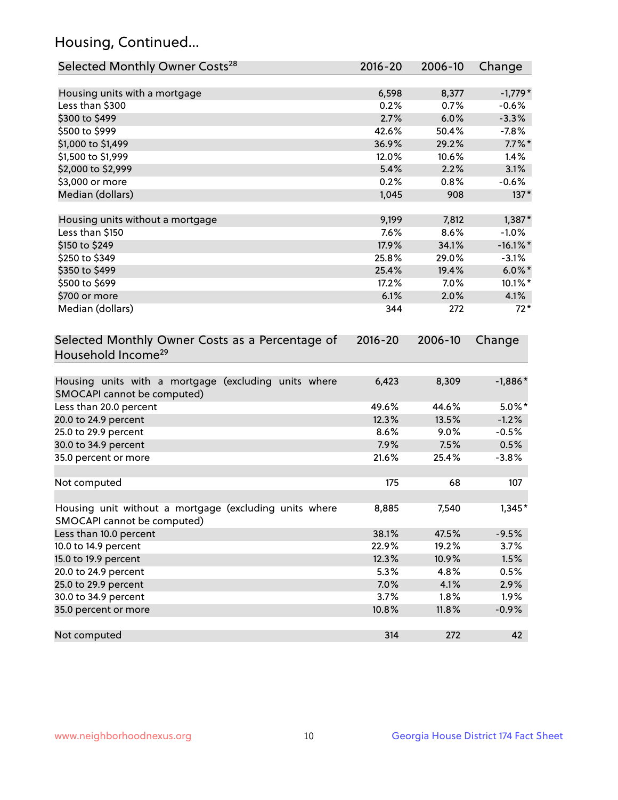## Housing, Continued...

| Selected Monthly Owner Costs <sup>28</sup>                                            | $2016 - 20$ | 2006-10 | Change      |
|---------------------------------------------------------------------------------------|-------------|---------|-------------|
| Housing units with a mortgage                                                         | 6,598       | 8,377   | $-1,779*$   |
| Less than \$300                                                                       | 0.2%        | 0.7%    | $-0.6%$     |
| \$300 to \$499                                                                        | 2.7%        | 6.0%    | $-3.3%$     |
| \$500 to \$999                                                                        | 42.6%       | 50.4%   | $-7.8%$     |
| \$1,000 to \$1,499                                                                    | 36.9%       | 29.2%   | $7.7\%$ *   |
| \$1,500 to \$1,999                                                                    | 12.0%       | 10.6%   | 1.4%        |
| \$2,000 to \$2,999                                                                    | 5.4%        | 2.2%    | 3.1%        |
| \$3,000 or more                                                                       | 0.2%        | 0.8%    | $-0.6%$     |
| Median (dollars)                                                                      | 1,045       | 908     | $137*$      |
| Housing units without a mortgage                                                      | 9,199       | 7,812   | $1,387*$    |
| Less than \$150                                                                       | 7.6%        | 8.6%    | $-1.0%$     |
| \$150 to \$249                                                                        | 17.9%       | 34.1%   | $-16.1\%$ * |
| \$250 to \$349                                                                        | 25.8%       | 29.0%   | $-3.1%$     |
| \$350 to \$499                                                                        | 25.4%       | 19.4%   | $6.0\%$ *   |
| \$500 to \$699                                                                        | 17.2%       | 7.0%    | 10.1%*      |
| \$700 or more                                                                         | 6.1%        | 2.0%    | 4.1%        |
| Median (dollars)                                                                      | 344         | 272     | $72*$       |
| Selected Monthly Owner Costs as a Percentage of<br>Household Income <sup>29</sup>     | $2016 - 20$ | 2006-10 | Change      |
| Housing units with a mortgage (excluding units where<br>SMOCAPI cannot be computed)   | 6,423       | 8,309   | $-1,886*$   |
| Less than 20.0 percent                                                                | 49.6%       | 44.6%   | $5.0\%$ *   |
| 20.0 to 24.9 percent                                                                  | 12.3%       | 13.5%   | $-1.2%$     |
| 25.0 to 29.9 percent                                                                  | 8.6%        | 9.0%    | $-0.5%$     |
| 30.0 to 34.9 percent                                                                  | 7.9%        | 7.5%    | 0.5%        |
| 35.0 percent or more                                                                  | 21.6%       | 25.4%   | $-3.8%$     |
| Not computed                                                                          | 175         | 68      | 107         |
| Housing unit without a mortgage (excluding units where<br>SMOCAPI cannot be computed) | 8,885       | 7,540   | $1,345*$    |
| Less than 10.0 percent                                                                | 38.1%       | 47.5%   | $-9.5%$     |
| 10.0 to 14.9 percent                                                                  | 22.9%       | 19.2%   | 3.7%        |
| 15.0 to 19.9 percent                                                                  | 12.3%       | 10.9%   | 1.5%        |
| 20.0 to 24.9 percent                                                                  | 5.3%        | 4.8%    | 0.5%        |
| 25.0 to 29.9 percent                                                                  | 7.0%        | 4.1%    | 2.9%        |
| 30.0 to 34.9 percent                                                                  | 3.7%        | 1.8%    | 1.9%        |
| 35.0 percent or more                                                                  | 10.8%       | 11.8%   | $-0.9%$     |
| Not computed                                                                          | 314         | 272     | 42          |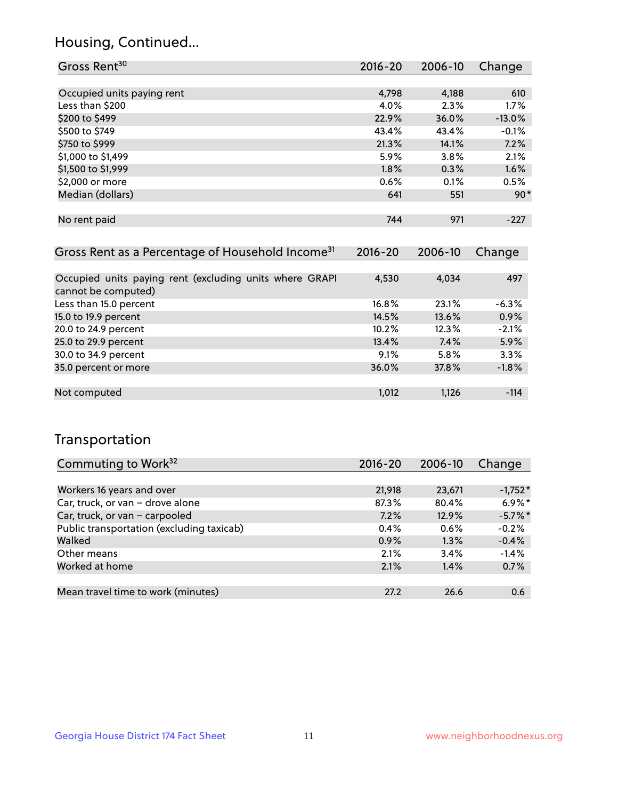## Housing, Continued...

| Gross Rent <sup>30</sup>   | 2016-20 | 2006-10 | Change   |
|----------------------------|---------|---------|----------|
|                            |         |         |          |
| Occupied units paying rent | 4,798   | 4,188   | 610      |
| Less than \$200            | 4.0%    | 2.3%    | 1.7%     |
| \$200 to \$499             | 22.9%   | 36.0%   | $-13.0%$ |
| \$500 to \$749             | 43.4%   | 43.4%   | $-0.1%$  |
| \$750 to \$999             | 21.3%   | 14.1%   | 7.2%     |
| \$1,000 to \$1,499         | 5.9%    | 3.8%    | 2.1%     |
| \$1,500 to \$1,999         | 1.8%    | 0.3%    | 1.6%     |
| \$2,000 or more            | 0.6%    | 0.1%    | 0.5%     |
| Median (dollars)           | 641     | 551     | $90*$    |
|                            |         |         |          |
| No rent paid               | 744     | 971     | $-227$   |

| Gross Rent as a Percentage of Household Income <sup>31</sup>                   | $2016 - 20$ | 2006-10 | Change  |
|--------------------------------------------------------------------------------|-------------|---------|---------|
|                                                                                |             |         |         |
| Occupied units paying rent (excluding units where GRAPI<br>cannot be computed) | 4,530       | 4,034   | 497     |
| Less than 15.0 percent                                                         | 16.8%       | 23.1%   | $-6.3%$ |
| 15.0 to 19.9 percent                                                           | 14.5%       | 13.6%   | 0.9%    |
| 20.0 to 24.9 percent                                                           | 10.2%       | 12.3%   | $-2.1%$ |
| 25.0 to 29.9 percent                                                           | 13.4%       | 7.4%    | 5.9%    |
| 30.0 to 34.9 percent                                                           | 9.1%        | $5.8\%$ | 3.3%    |
| 35.0 percent or more                                                           | 36.0%       | 37.8%   | $-1.8%$ |
|                                                                                |             |         |         |
| Not computed                                                                   | 1,012       | 1,126   | $-114$  |

## Transportation

| Commuting to Work <sup>32</sup>           | 2016-20 | 2006-10 | Change     |
|-------------------------------------------|---------|---------|------------|
|                                           |         |         |            |
| Workers 16 years and over                 | 21,918  | 23,671  | $-1,752*$  |
| Car, truck, or van - drove alone          | 87.3%   | 80.4%   | $6.9\%$ *  |
| Car, truck, or van - carpooled            | 7.2%    | 12.9%   | $-5.7\%$ * |
| Public transportation (excluding taxicab) | 0.4%    | 0.6%    | $-0.2%$    |
| Walked                                    | 0.9%    | 1.3%    | $-0.4%$    |
| Other means                               | 2.1%    | 3.4%    | $-1.4%$    |
| Worked at home                            | 2.1%    | 1.4%    | 0.7%       |
|                                           |         |         |            |
| Mean travel time to work (minutes)        | 27.2    | 26.6    | 0.6        |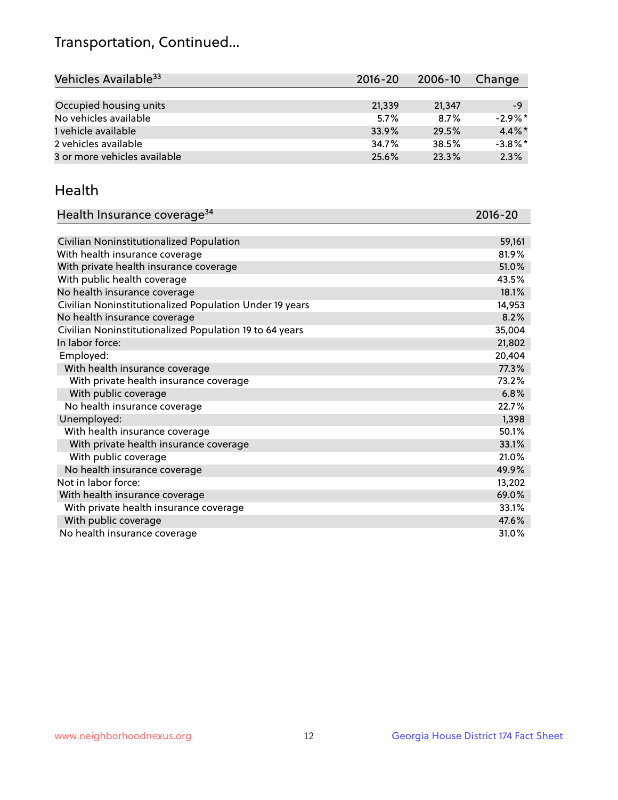## Transportation, Continued...

| Vehicles Available <sup>33</sup> | $2016 - 20$ | $2006 - 10$ | Change     |
|----------------------------------|-------------|-------------|------------|
|                                  |             |             |            |
| Occupied housing units           | 21,339      | 21,347      | -9         |
| No vehicles available            | 5.7%        | 8.7%        | $-2.9\%$ * |
| 1 vehicle available              | 33.9%       | 29.5%       | $4.4\%$ *  |
| 2 vehicles available             | 34.7%       | 38.5%       | $-3.8\%$ * |
| 3 or more vehicles available     | 25.6%       | 23.3%       | 2.3%       |

#### Health

| Health Insurance coverage <sup>34</sup>                 | 2016-20 |
|---------------------------------------------------------|---------|
|                                                         |         |
| Civilian Noninstitutionalized Population                | 59,161  |
| With health insurance coverage                          | 81.9%   |
| With private health insurance coverage                  | 51.0%   |
| With public health coverage                             | 43.5%   |
| No health insurance coverage                            | 18.1%   |
| Civilian Noninstitutionalized Population Under 19 years | 14,953  |
| No health insurance coverage                            | 8.2%    |
| Civilian Noninstitutionalized Population 19 to 64 years | 35,004  |
| In labor force:                                         | 21,802  |
| Employed:                                               | 20,404  |
| With health insurance coverage                          | 77.3%   |
| With private health insurance coverage                  | 73.2%   |
| With public coverage                                    | 6.8%    |
| No health insurance coverage                            | 22.7%   |
| Unemployed:                                             | 1,398   |
| With health insurance coverage                          | 50.1%   |
| With private health insurance coverage                  | 33.1%   |
| With public coverage                                    | 21.0%   |
| No health insurance coverage                            | 49.9%   |
| Not in labor force:                                     | 13,202  |
| With health insurance coverage                          | 69.0%   |
| With private health insurance coverage                  | 33.1%   |
| With public coverage                                    | 47.6%   |
| No health insurance coverage                            | 31.0%   |